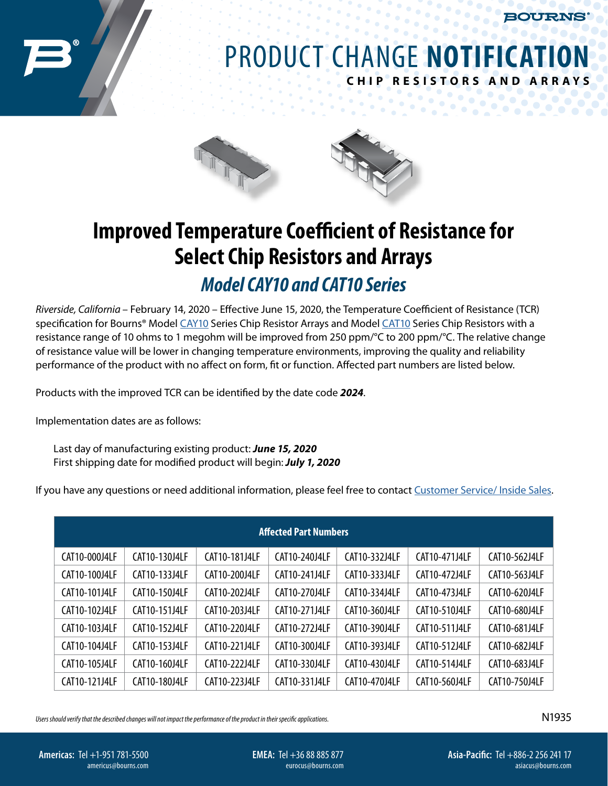**BOURNS** 

## PRODUCT CHANGE **NOTIFICATION CHIP RESISTORS AND ARR AYS**

 $\mathcal{L}$  $\alpha$  $\bullet$ 



## **Improved Temperature Coefficient of Resistance for Select Chip Resistors and Arrays**

## *Model CAY10 and CAT10 Series*

*Riverside, California* – February 14, 2020 – Effective June 15, 2020, the Temperature Coefficient of Resistance (TCR) specification for Bourns® Model [CAY10](https://www.bourns.com/docs/product-datasheets/cay10.pdf) Series Chip Resistor Arrays and Model [CAT10](https://www.bourns.com/docs/product-datasheets/cat10.pdf) Series Chip Resistors with a resistance range of 10 ohms to 1 megohm will be improved from 250 ppm/°C to 200 ppm/°C. The relative change of resistance value will be lower in changing temperature environments, improving the quality and reliability performance of the product with no affect on form, fit or function. Affected part numbers are listed below.

Products with the improved TCR can be identified by the date code *2024*.

Implementation dates are as follows:

Last day of manufacturing existing product: *June 15, 2020*  First shipping date for modified product will begin: *July 1, 2020*

If you have any questions or need additional information, please feel free to contact [Customer Service/ Inside Sales](https://www.bourns.com/support/contact).

| <b>Affected Part Numbers</b> |               |               |               |               |               |               |  |  |  |  |
|------------------------------|---------------|---------------|---------------|---------------|---------------|---------------|--|--|--|--|
| CAT10-000J4LF                | CAT10-130J4LF | CAT10-181J4LF | CAT10-240J4LF | CAT10-332J4LF | CAT10-471J4LF | CAT10-562J4LF |  |  |  |  |
| CAT10-100J4LF                | CAT10-133J4LF | CAT10-200J4LF | CAT10-241J4LF | CAT10-333J4LF | CAT10-472J4LF | CAT10-563J4LF |  |  |  |  |
| CAT10-101J4LF                | CAT10-150J4LF | CAT10-202J4LF | CAT10-270J4LF | CAT10-334J4LF | CAT10-473J4LF | CAT10-620J4LF |  |  |  |  |
| CAT10-102J4LF                | CAT10-151J4LF | CAT10-203J4LF | CAT10-271J4LF | CAT10-360J4LF | CAT10-510J4LF | CAT10-680J4LF |  |  |  |  |
| CAT10-103J4LF                | CAT10-152J4LF | CAT10-220J4LF | CAT10-272J4LF | CAT10-390J4LF | CAT10-511J4LF | CAT10-681J4LF |  |  |  |  |
| CAT10-104J4LF                | CAT10-153J4LF | CAT10-221J4LF | CAT10-300J4LF | CAT10-393J4LF | CAT10-512J4LF | CAT10-682J4LF |  |  |  |  |
| CAT10-105J4LF                | CAT10-160J4LF | CAT10-222J4LF | CAT10-330J4LF | CAT10-430J4LF | CAT10-514J4LF | CAT10-683J4LF |  |  |  |  |
| CAT10-121J4LF                | CAT10-180J4LF | CAT10-223J4LF | CAT10-331J4LF | CAT10-470J4LF | CAT10-560J4LF | CAT10-750J4LF |  |  |  |  |

*Users should verify that the described changes will not impact the performance of the product in their specific applications.*

N1935